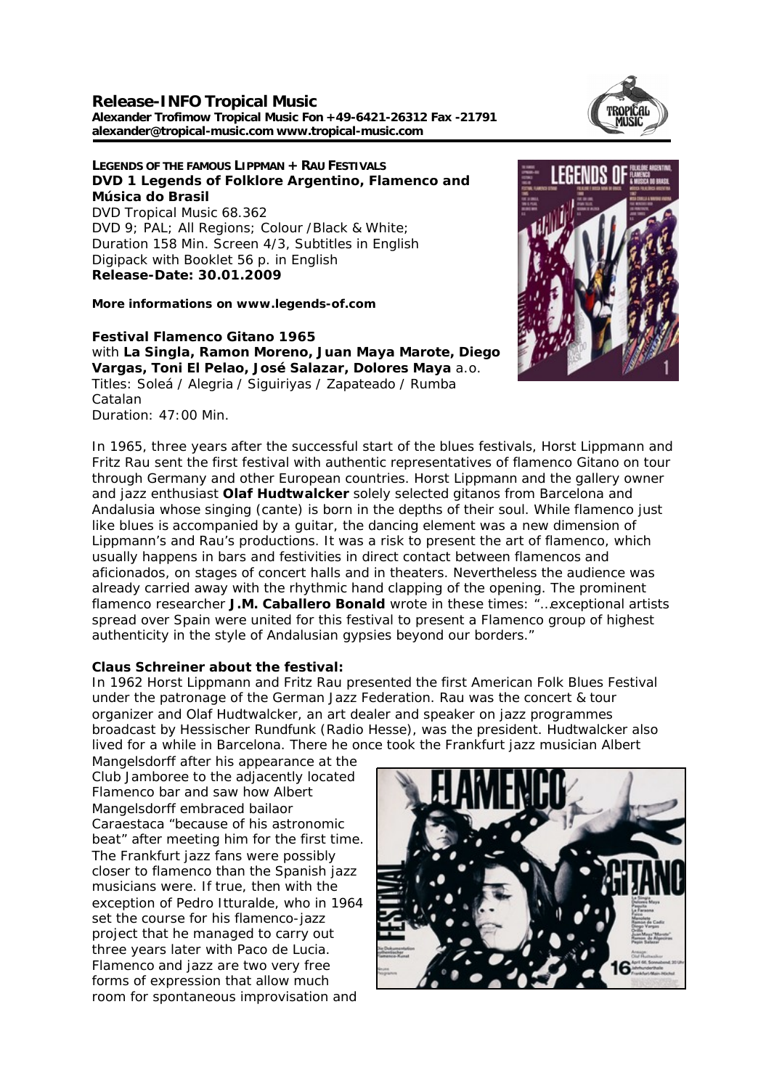### **Release-INFO Tropical Music Alexander Trofimow Tropical Music Fon +49-6421-26312 Fax -21791 alexander@tropical-music.com www.tropical-music.com**



**LEGENDS OF THE FAMOUS LIPPMAN + RAU FESTIVALS DVD 1 Legends of Folklore Argentino, Flamenco and Música do Brasil** DVD Tropical Music 68.362 DVD 9; PAL; All Regions; Colour /Black & White; Duration 158 Min. Screen 4/3, Subtitles in English Digipack with Booklet 56 p. in English **Release-Date: 30.01.2009**

**More informations on www.legends-of.com**

**Festival Flamenco Gitano 1965** with **La Singla, Ramon Moreno, Juan Maya Marote, Diego Vargas, Toni El Pelao, José Salazar, Dolores Maya** a.o. Titles: Soleá / Alegria / Siguiriyas / Zapateado / Rumba Catalan Duration: 47:00 Min.



In 1965, three years after the successful start of the blues festivals, Horst Lippmann and Fritz Rau sent the first festival with authentic representatives of flamenco Gitano on tour through Germany and other European countries. Horst Lippmann and the gallery owner and jazz enthusiast **Olaf Hudtwalcker** solely selected gitanos from Barcelona and Andalusia whose singing (cante) is born in the depths of their soul. While flamenco just like blues is accompanied by a guitar, the dancing element was a new dimension of Lippmann's and Rau's productions. It was a risk to present the art of flamenco, which usually happens in bars and festivities in direct contact between flamencos and aficionados, on stages of concert halls and in theaters. Nevertheless the audience was already carried away with the rhythmic hand clapping of the opening. The prominent flamenco researcher **J.M. Caballero Bonald** wrote in these times: "…exceptional artists spread over Spain were united for this festival to present a Flamenco group of highest authenticity in the style of Andalusian gypsies beyond our borders."

## **Claus Schreiner about the festival:**

In 1962 Horst Lippmann and Fritz Rau presented the first American Folk Blues Festival under the patronage of the German Jazz Federation. Rau was the concert & tour organizer and Olaf Hudtwalcker, an art dealer and speaker on jazz programmes broadcast by Hessischer Rundfunk (Radio Hesse), was the president. Hudtwalcker also lived for a while in Barcelona. There he once took the Frankfurt jazz musician Albert

Mangelsdorff after his appearance at the Club Jamboree to the adjacently located Flamenco bar and saw how Albert Mangelsdorff embraced bailaor Caraestaca "because of his astronomic beat" after meeting him for the first time. The Frankfurt jazz fans were possibly closer to flamenco than the Spanish jazz musicians were. If true, then with the exception of Pedro Itturalde, who in 1964 set the course for his flamenco-jazz project that he managed to carry out three years later with Paco de Lucia. Flamenco and jazz are two very free forms of expression that allow much room for spontaneous improvisation and

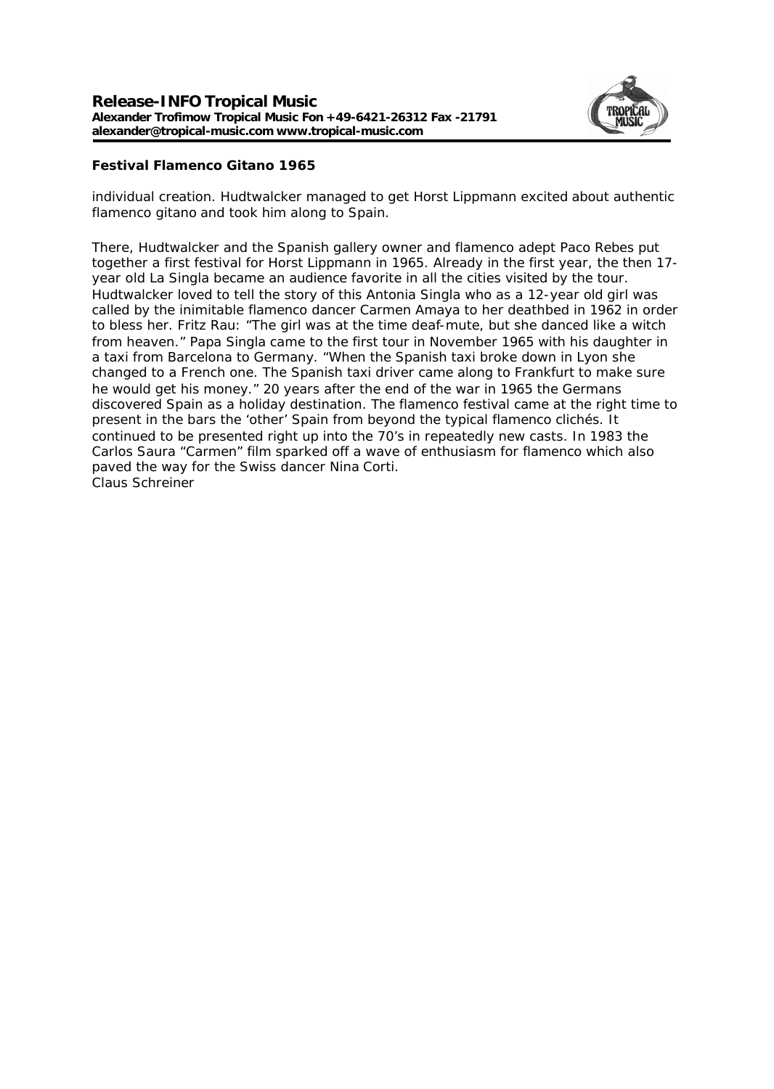

# **Festival Flamenco Gitano 1965**

individual creation. Hudtwalcker managed to get Horst Lippmann excited about authentic flamenco gitano and took him along to Spain.

There, Hudtwalcker and the Spanish gallery owner and flamenco adept Paco Rebes put together a first festival for Horst Lippmann in 1965. Already in the first year, the then 17 year old La Singla became an audience favorite in all the cities visited by the tour. Hudtwalcker loved to tell the story of this Antonia Singla who as a 12-year old girl was called by the inimitable flamenco dancer Carmen Amaya to her deathbed in 1962 in order to bless her. Fritz Rau: "The girl was at the time deaf-mute, but she danced like a witch from heaven." Papa Singla came to the first tour in November 1965 with his daughter in a taxi from Barcelona to Germany. "When the Spanish taxi broke down in Lyon she changed to a French one. The Spanish taxi driver came along to Frankfurt to make sure he would get his money." 20 years after the end of the war in 1965 the Germans discovered Spain as a holiday destination. The flamenco festival came at the right time to present in the bars the 'other' Spain from beyond the typical flamenco clichés. It continued to be presented right up into the 70's in repeatedly new casts. In 1983 the Carlos Saura "Carmen" film sparked off a wave of enthusiasm for flamenco which also paved the way for the Swiss dancer Nina Corti. Claus Schreiner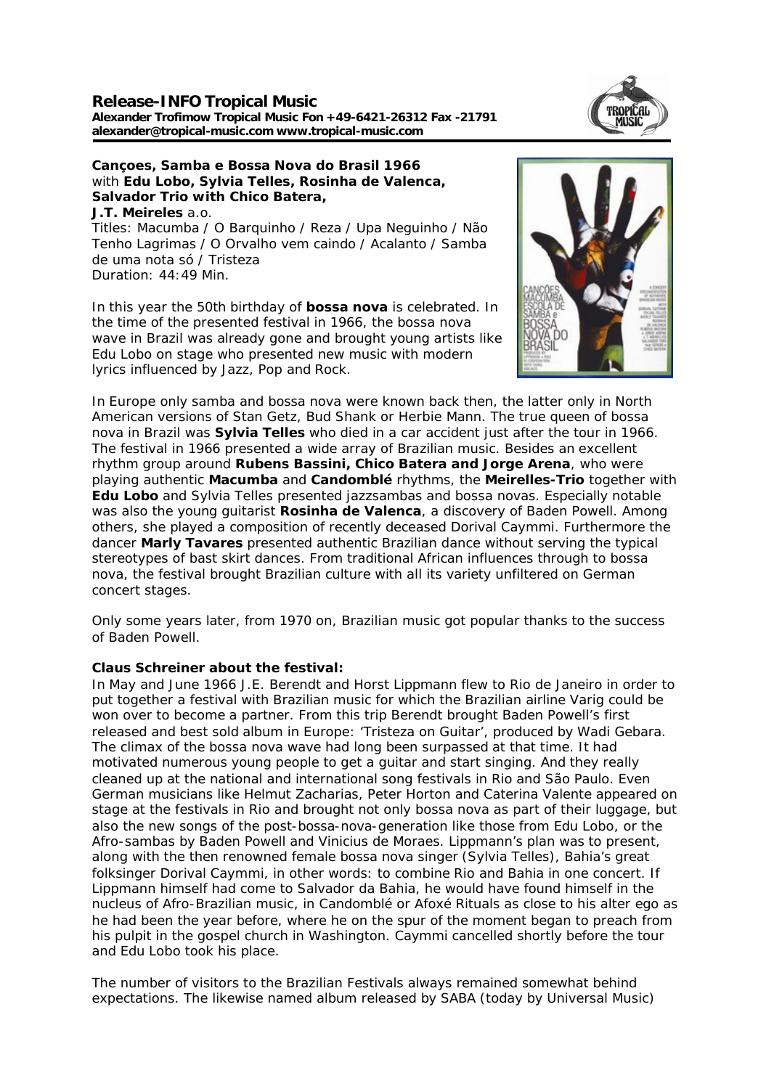### **Release-INFO Tropical Music Alexander Trofimow Tropical Music Fon +49-6421-26312 Fax -21791 alexander@tropical-music.com www.tropical-music.com**



**Cançoes, Samba e Bossa Nova do Brasil 1966** with **Edu Lobo, Sylvia Telles, Rosinha de Valenca, Salvador Trio with Chico Batera, J.T. Meireles** a.o. Titles: Macumba / O Barquinho / Reza / Upa Neguinho / Não Tenho Lagrimas / O Orvalho vem caindo / Acalanto / Samba de uma nota só / Tristeza Duration: 44:49 Min.

In this year the 50th birthday of **bossa nova** is celebrated. In the time of the presented festival in 1966, the bossa nova wave in Brazil was already gone and brought young artists like Edu Lobo on stage who presented new music with modern lyrics influenced by Jazz, Pop and Rock.



In Europe only samba and bossa nova were known back then, the latter only in North American versions of Stan Getz, Bud Shank or Herbie Mann. The true queen of bossa nova in Brazil was **Sylvia Telles** who died in a car accident just after the tour in 1966. The festival in 1966 presented a wide array of Brazilian music. Besides an excellent rhythm group around **Rubens Bassini, Chico Batera and Jorge Arena**, who were playing authentic **Macumba** and **Candomblé** rhythms, the **Meirelles-Trio** together with **Edu Lobo** and Sylvia Telles presented jazzsambas and bossa novas. Especially notable was also the young guitarist **Rosinha de Valenca**, a discovery of Baden Powell. Among others, she played a composition of recently deceased Dorival Caymmi. Furthermore the dancer **Marly Tavares** presented authentic Brazilian dance without serving the typical stereotypes of bast skirt dances. From traditional African influences through to bossa nova, the festival brought Brazilian culture with all its variety unfiltered on German concert stages.

Only some years later, from 1970 on, Brazilian music got popular thanks to the success of Baden Powell.

## **Claus Schreiner about the festival:**

In May and June 1966 J.E. Berendt and Horst Lippmann flew to Rio de Janeiro in order to put together a festival with Brazilian music for which the Brazilian airline Varig could be won over to become a partner. From this trip Berendt brought Baden Powell's first released and best sold album in Europe: 'Tristeza on Guitar', produced by Wadi Gebara. The climax of the bossa nova wave had long been surpassed at that time. It had motivated numerous young people to get a guitar and start singing. And they really cleaned up at the national and international song festivals in Rio and São Paulo. Even German musicians like Helmut Zacharias, Peter Horton and Caterina Valente appeared on stage at the festivals in Rio and brought not only bossa nova as part of their luggage, but also the new songs of the post-bossa-nova-generation like those from Edu Lobo, or the Afro-sambas by Baden Powell and Vinicius de Moraes. Lippmann's plan was to present, along with the then renowned female bossa nova singer (Sylvia Telles), Bahia's great folksinger Dorival Caymmi, in other words: to combine Rio and Bahia in one concert. If Lippmann himself had come to Salvador da Bahia, he would have found himself in the nucleus of Afro-Brazilian music, in Candomblé or Afoxé Rituals as close to his alter ego as he had been the year before, where he on the spur of the moment began to preach from his pulpit in the gospel church in Washington. Caymmi cancelled shortly before the tour and Edu Lobo took his place.

The number of visitors to the Brazilian Festivals always remained somewhat behind expectations. The likewise named album released by SABA (today by Universal Music)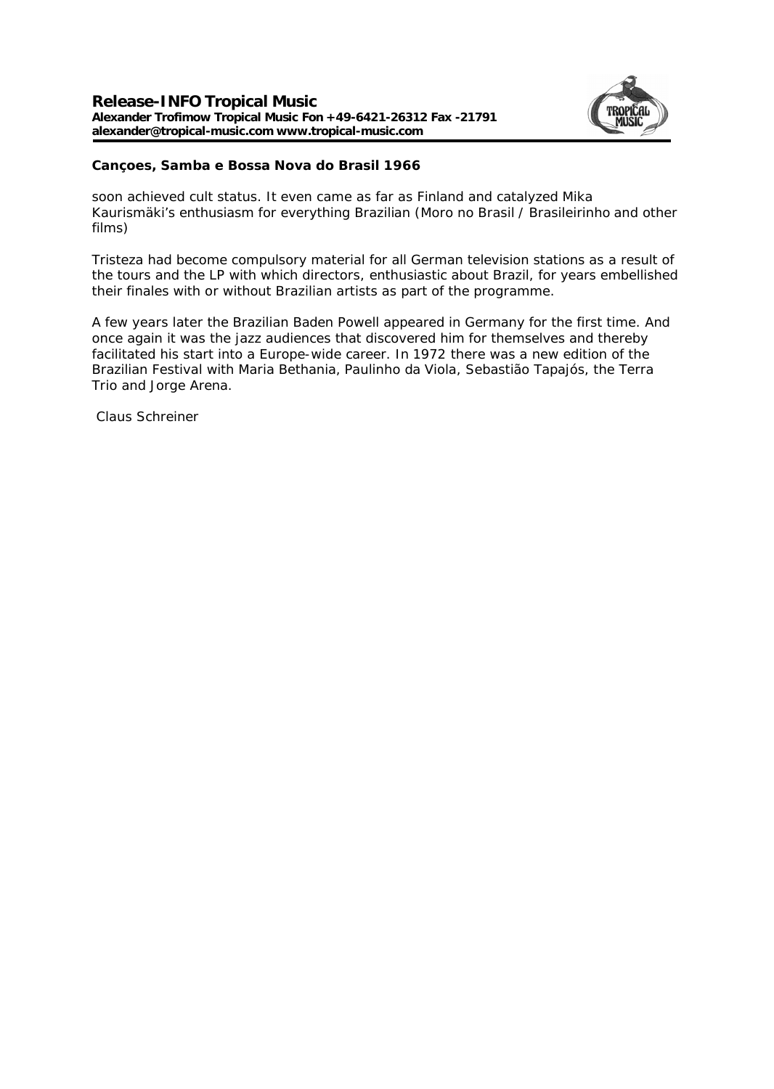

**Cançoes, Samba e Bossa Nova do Brasil 1966**

soon achieved cult status. It even came as far as Finland and catalyzed Mika Kaurismäki's enthusiasm for everything Brazilian (Moro no Brasil / Brasileirinho and other films)

Tristeza had become compulsory material for all German television stations as a result of the tours and the LP with which directors, enthusiastic about Brazil, for years embellished their finales with or without Brazilian artists as part of the programme.

A few years later the Brazilian Baden Powell appeared in Germany for the first time. And once again it was the jazz audiences that discovered him for themselves and thereby facilitated his start into a Europe-wide career. In 1972 there was a new edition of the Brazilian Festival with Maria Bethania, Paulinho da Viola, Sebastião Tapajós, the Terra Trio and Jorge Arena.

Claus Schreiner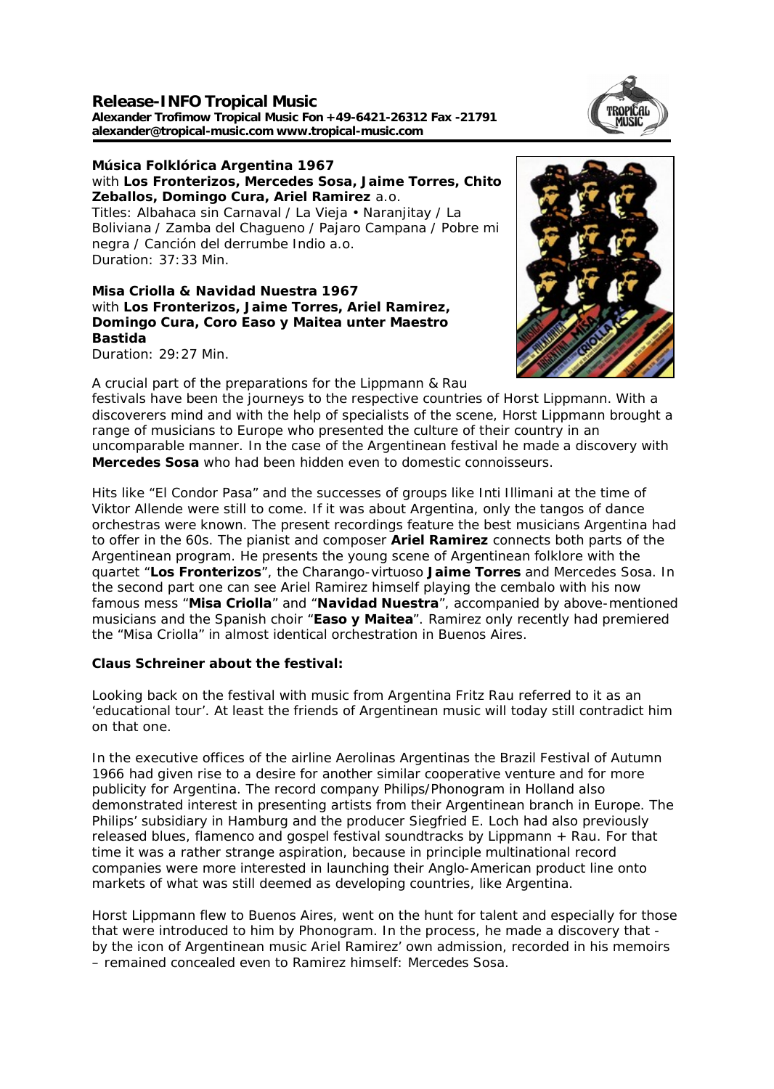**Release-INFO Tropical Music Alexander Trofimow Tropical Music Fon +49-6421-26312 Fax -21791 alexander@tropical-music.com www.tropical-music.com** 



**Música Folklórica Argentina 1967** with **Los Fronterizos, Mercedes Sosa, Jaime Torres, Chito Zeballos, Domingo Cura, Ariel Ramirez** a.o. Titles: Albahaca sin Carnaval / La Vieja • Naranjitay / La Boliviana / Zamba del Chagueno / Pajaro Campana / Pobre mi negra / Canción del derrumbe Indio a.o. Duration: 37:33 Min.

**Misa Criolla & Navidad Nuestra 1967** with **Los Fronterizos, Jaime Torres, Ariel Ramirez, Domingo Cura, Coro Easo y Maitea unter Maestro Bastida** Duration: 29:27 Min.

A crucial part of the preparations for the Lippmann & Rau



festivals have been the journeys to the respective countries of Horst Lippmann. With a discoverers mind and with the help of specialists of the scene, Horst Lippmann brought a range of musicians to Europe who presented the culture of their country in an uncomparable manner. In the case of the Argentinean festival he made a discovery with **Mercedes Sosa** who had been hidden even to domestic connoisseurs.

Hits like "El Condor Pasa" and the successes of groups like Inti Illimani at the time of Viktor Allende were still to come. If it was about Argentina, only the tangos of dance orchestras were known. The present recordings feature the best musicians Argentina had to offer in the 60s. The pianist and composer **Ariel Ramirez** connects both parts of the Argentinean program. He presents the young scene of Argentinean folklore with the quartet "**Los Fronterizos**", the Charango-virtuoso **Jaime Torres** and Mercedes Sosa. In the second part one can see Ariel Ramirez himself playing the cembalo with his now famous mess "**Misa Criolla**" and "**Navidad Nuestra**", accompanied by above-mentioned musicians and the Spanish choir "**Easo y Maitea**". Ramirez only recently had premiered the "Misa Criolla" in almost identical orchestration in Buenos Aires.

**Claus Schreiner about the festival:** 

Looking back on the festival with music from Argentina Fritz Rau referred to it as an 'educational tour'. At least the friends of Argentinean music will today still contradict him on that one.

In the executive offices of the airline Aerolinas Argentinas the Brazil Festival of Autumn 1966 had given rise to a desire for another similar cooperative venture and for more publicity for Argentina. The record company Philips/Phonogram in Holland also demonstrated interest in presenting artists from their Argentinean branch in Europe. The Philips' subsidiary in Hamburg and the producer Siegfried E. Loch had also previously released blues, flamenco and gospel festival soundtracks by Lippmann + Rau. For that time it was a rather strange aspiration, because in principle multinational record companies were more interested in launching their Anglo-American product line onto markets of what was still deemed as developing countries, like Argentina.

Horst Lippmann flew to Buenos Aires, went on the hunt for talent and especially for those that were introduced to him by Phonogram. In the process, he made a discovery that by the icon of Argentinean music Ariel Ramirez' own admission, recorded in his memoirs – remained concealed even to Ramirez himself: Mercedes Sosa.